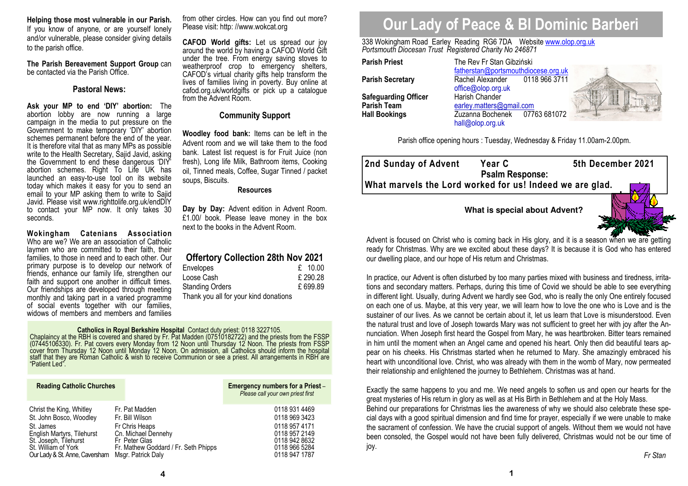**Helping those most vulnerable in our Parish.**  If you know of anyone, or are yourself lonely and/or vulnerable, please consider giving details to the parish office.

**The Parish Bereavement Support Group** can be contacted via the Parish Office.

## **Pastoral News:**

**Ask your MP to end 'DIY' abortion:** The abortion lobby are now running a large campaign in the media to put pressure on the Government to make temporary 'DIY' abortion schemes permanent before the end of the year. It is therefore vital that as many MPs as possible write to the Health Secretary, Sajid Javid, asking the Government to end these dangerous 'DIY' abortion schemes. Right To Life UK has launched an easy-to-use tool on its website today which makes it easy for you to send an email to your MP asking them to write to Sajid Javid. Please visit www.righttolife.org.uk/endDIY to contact your MP now. It only takes 30 seconds.

**Wokingham Catenians Association** Who are we? We are an association of Catholic laymen who are committed to their faith, their families, to those in need and to each other. Our primary purpose is to develop our network of friends, enhance our family life, strengthen our faith and support one another in difficult times. Our friendships are developed through meeting monthly and taking part in a varied programme of social events together with our families, widows of members and members and families

from other circles. How can you find out more? Please visit: http: //www.wokcat.org

**CAFOD World gifts:** Let us spread our joy around the world by having a CAFOD World Gift under the tree. From energy saving stoves to weatherproof crop to emergency shelters, CAFOD's virtual charity gifts help transform the lives of families living in poverty. Buy online at cafod.org.uk/worldgifts or pick up a catalogue from the Advent Room.

## **Community Support**

**Woodley food bank:** Items can be left in the Advent room and we will take them to the food bank. Latest list request is for Fruit Juice (non fresh), Long life Milk, Bathroom items, Cooking oil, Tinned meals, Coffee, Sugar Tinned / packet soups, Biscuits.

### **Resources**

**Day by Day:** Advent edition in Advent Room. £1.00/ book. Please leave money in the box next to the books in the Advent Room.

## **Offertory Collection 28th Nov 2021**

| Envelopes                             | £ $10.00$ |
|---------------------------------------|-----------|
| Loose Cash                            | £290.28   |
| <b>Standing Orders</b>                | £699.89   |
| Thank you all for your kind donations |           |

**Catholics in Royal Berkshire Hospital** Contact duty priest: 0118 3227105.<br>Chaplaincy at the RBH is covered and shared by Fr. Pat Madden (07510182722) and the priests from the FSSP<br>(07445106330). Fr. Pat covers every Monda

| <b>Reading Catholic Churches</b> |                                      | Emergency numbers for a Priest -<br>Please call your own priest first |
|----------------------------------|--------------------------------------|-----------------------------------------------------------------------|
| Christ the King, Whitley         | Fr. Pat Madden                       | 0118 931 4469                                                         |
| St. John Bosco, Woodley          | Fr. Bill Wilson                      | 0118 969 3423                                                         |
| St. James                        | Fr Chris Heaps                       | 0118 957 4171                                                         |
| English Martyrs, Tilehurst       | Cn. Michael Dennehy                  | 0118 957 2149                                                         |
| St. Joseph, Tilehurst            | Fr Peter Glas                        | 0118 942 8632                                                         |
| St. William of York              | Fr. Mathew Goddard / Fr. Seth Phipps | 0118 966 5284                                                         |
| Our Lady & St. Anne, Caversham   | Msgr. Patrick Daly                   | 0118 947 1787                                                         |

# **Our Lady of Peace & Bl Dominic Barberi**

338 Wokingham Road Earley Reading RG6 7DA Website www.olop.org.uk*Portsmouth Diocesan Trust Registered Charity No 246871* 

**Parish Priest** The Rev Fr Stan Gibziński

| Parish Priest                                                      |
|--------------------------------------------------------------------|
| <b>Parish Secretary</b>                                            |
| <b>Safeguarding Officer</b><br>Parish Team<br><b>Hall Bookings</b> |

 fatherstan@portsmouthdiocese.org.uk0118 966 3711 **Rachel Alexander** office@olop.org.uk**Harish Chander** Parish Team **beat and Communist Communist Parish Team** earley.matters@gmail.com 07763 68107 **Hall Bookings** Zuzanna Bochenek 07763 681072 hall@olop.org.uk



Parish office opening hours : Tuesday, Wednesday & Friday 11.00am-2.00pm.

| 2nd Sunday of Advent                                     | <b>Year C</b><br><b>Psalm Response:</b> | 5th December 2021 |
|----------------------------------------------------------|-----------------------------------------|-------------------|
| What marvels the Lord worked for us! Indeed we are glad. |                                         |                   |
|                                                          | What is special about Advent?           |                   |



Advent is focused on Christ who is coming back in His glory, and it is a season when we are getting ready for Christmas. Why are we excited about these days? It is because it is God who has entered our dwelling place, and our hope of His return and Christmas.

In practice, our Advent is often disturbed by too many parties mixed with business and tiredness, irritations and secondary matters. Perhaps, during this time of Covid we should be able to see everything in different light. Usually, during Advent we hardly see God, who is really the only One entirely focused on each one of us. Maybe, at this very year, we will learn how to love the one who is Love and is the sustainer of our lives. As we cannot be certain about it, let us learn that Love is misunderstood. Even the natural trust and love of Joseph towards Mary was not sufficient to greet her with joy after the Annunciation. When Joseph first heard the Gospel from Mary, he was heartbroken. Bitter tears remained in him until the moment when an Angel came and opened his heart. Only then did beautiful tears appear on his cheeks. His Christmas started when he returned to Mary. She amazingly embraced his heart with unconditional love. Christ, who was already with them in the womb of Mary, now permeated their relationship and enlightened the journey to Bethlehem. Christmas was at hand.

Exactly the same happens to you and me. We need angels to soften us and open our hearts for the great mysteries of His return in glory as well as at His Birth in Bethlehem and at the Holy Mass. Behind our preparations for Christmas lies the awareness of why we should also celebrate these special days with a good spiritual dimension and find time for prayer, especially if we were unable to make the sacrament of confession. We have the crucial support of angels. Without them we would not have been consoled, the Gospel would not have been fully delivered, Christmas would not be our time of joy.